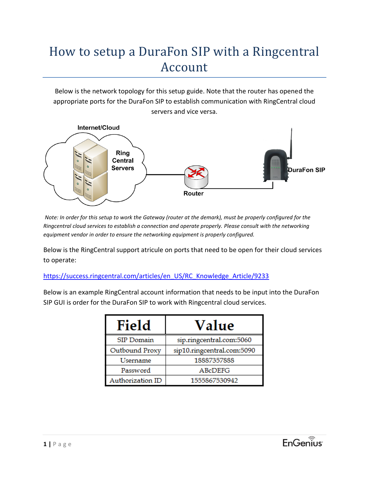# How to setup a DuraFon SIP with a Ringcentral Account

Below is the network topology for this setup guide. Note that the router has opened the appropriate ports for the DuraFon SIP to establish communication with RingCentral cloud servers and vice versa.



*Note: In order for this setup to work the Gateway (router at the demark), must be properly configured for the Ringcentral cloud services to establish a connection and operate properly. Please consult with the networking equipment vendor in order to ensure the networking equipment is properly configured.*

Below is the RingCentral support atricule on ports that need to be open for their cloud services to operate:

#### https://success.ringcentral.com/articles/en\_US/RC\_Knowledge\_Article/9233

Below is an example RingCentral account information that needs to be input into the DuraFon SIP GUI is order for the DuraFon SIP to work with Ringcentral cloud services.

| Field            | Value                      |
|------------------|----------------------------|
| SIP Domain       | sip.ringcentral.com:5060   |
| Outbound Proxy   | sip10.ringcentral.com:5090 |
| Username         | 18887357888                |
| Password         | ABcDEFG                    |
| Authorization ID | 1555867530942              |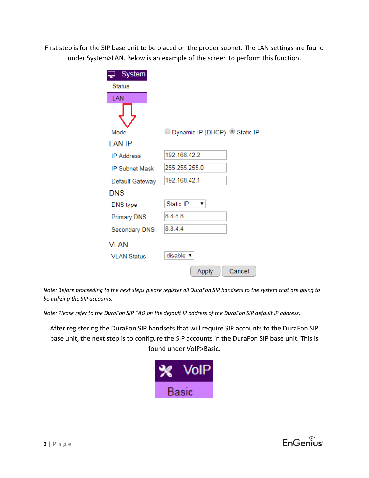First step is for the SIP base unit to be placed on the proper subnet. The LAN settings are found under System>LAN. Below is an example of the screen to perform this function.

| <b>System</b>         |                                            |        |
|-----------------------|--------------------------------------------|--------|
| <b>Status</b>         |                                            |        |
| LAN                   |                                            |        |
|                       |                                            |        |
| Mode                  | © Dynamic IP (DHCP) <sup>◎</sup> Static IP |        |
| <b>LAN IP</b>         |                                            |        |
| <b>IP Address</b>     | 192.168.42.2                               |        |
| <b>IP Subnet Mask</b> | 255.255.255.0                              |        |
| Default Gateway       | 192 168 42 1                               |        |
| <b>DNS</b>            |                                            |        |
| DNS type              | Static IP<br>▼                             |        |
| <b>Primary DNS</b>    | 8.8.8.8                                    |        |
| Secondary DNS         | 8.8.4.4                                    |        |
| VLAN                  |                                            |        |
| <b>VLAN Status</b>    | disable v                                  |        |
|                       | Apply                                      | Cancel |

*Note: Before proceeding to the next steps please register all DuraFon SIP handsets to the system that are going to be utilizing the SIP accounts.* 

*Note: Please refer to the DuraFon SIP FAQ on the default IP address of the DuraFon SIP default IP address.* 

After registering the DuraFon SIP handsets that will require SIP accounts to the DuraFon SIP base unit, the next step is to configure the SIP accounts in the DuraFon SIP base unit. This is found under VoIP>Basic.

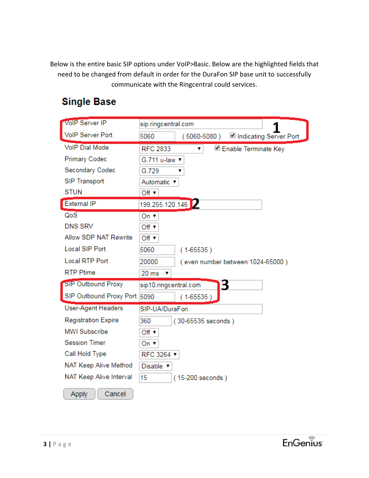Below is the entire basic SIP options under VoIP>Basic. Below are the highlighted fields that need to be changed from default in order for the DuraFon SIP base unit to successfully communicate with the Ringcentral could services.

# **Single Base**

| VolP Server IP               |                                                   |
|------------------------------|---------------------------------------------------|
|                              | sip.ringcentral.com                               |
| <b>VoIP Server Port</b>      | Indicating Server Port<br>5060<br>$(5060 - 5080)$ |
| <b>VolP Dial Mode</b>        | <b>RFC 2833</b><br>Enable Terminate Key<br>۳.     |
| <b>Primary Codec</b>         | G.711 u-law                                       |
| Secondary Codec              | G.729                                             |
| <b>SIP Transport</b>         | Automatic ▼                                       |
| <b>STUN</b>                  | Off $\blacktriangledown$                          |
| <b>External IP</b>           | 199.255.120.146                                   |
| QoS                          | On $\overline{v}$                                 |
| <b>DNS SRV</b>               | Off ▼                                             |
| Allow SDP NAT Rewrite        | Off $\blacktriangledown$                          |
| <b>Local SIP Port</b>        | 5060<br>$(1 - 65535)$                             |
| <b>Local RTP Port</b>        | 20000<br>(even number between 1024-65000)         |
| <b>RTP Ptime</b>             | 20 ms<br>▼                                        |
| <b>SIP Outbound Proxy</b>    | sip10.ringcentral.com<br>З                        |
| SIP Outbound Proxy Port 5090 | $(1-65535)$                                       |
| <b>User-Agent Headers</b>    | SIP-UA/DuraFon                                    |
| <b>Registration Expire</b>   | 360<br>(30-65535 seconds)                         |
| <b>MWI Subscribe</b>         | Off $\overline{ }$                                |
| <b>Session Timer</b>         | On ▼                                              |
| Call Hold Type               | RFC 3264 ▼                                        |
| NAT Keep Alive Method        | Disable v                                         |
| NAT Keep Alive Interval      | 15<br>(15-200 seconds)                            |
| Cancel<br>Apply              |                                                   |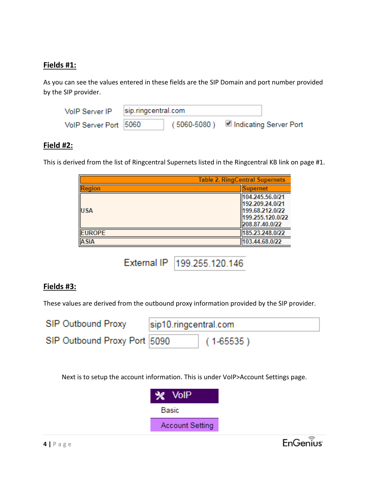#### **Fields #1:**

As you can see the values entered in these fields are the SIP Domain and port number provided by the SIP provider.

| VoIP Server IP        | sip.ringcentral.com |                                             |  |
|-----------------------|---------------------|---------------------------------------------|--|
| VolP Server Port 5060 |                     | (5060-5080) <u>■</u> Indicating Server Port |  |

#### **Field #2:**

This is derived from the list of Ringcentral Supernets listed in the Ringcentral KB link on page #1.

|               | <b>Table 2. RingCentral Supernets</b> |                                                                                             |  |
|---------------|---------------------------------------|---------------------------------------------------------------------------------------------|--|
| <b>Region</b> |                                       | <b>Supernet</b>                                                                             |  |
| <b>USA</b>    |                                       | 104.245.56.0/21<br>192.209.24.0/21<br>199.68.212.0/22<br>199.255.120.0/22<br>208.87.40.0/22 |  |
| <b>EUROPE</b> |                                       | 185.23.248.0/22                                                                             |  |
| <b>ASIA</b>   |                                       | 103.44.68.0/22                                                                              |  |

External IP | 199.255.120.146

#### **Fields #3:**

These values are derived from the outbound proxy information provided by the SIP provider.

| <b>SIP Outbound Proxy</b>    | sip10.ringcentral.com |               |  |
|------------------------------|-----------------------|---------------|--|
| SIP Outbound Proxy Port 5090 |                       | $(1 - 65535)$ |  |

Next is to setup the account information. This is under VoIP>Account Settings page.

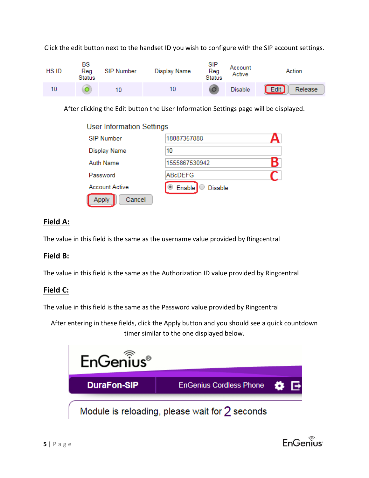

Click the edit button next to the handset ID you wish to configure with the SIP account settings.

After clicking the Edit button the User Information Settings page will be displayed.

| <b>User Information Settings</b> |                          |  |
|----------------------------------|--------------------------|--|
| <b>SIP Number</b>                | 18887357888              |  |
| Display Name                     | 10                       |  |
| <b>Auth Name</b>                 | 1555867530942            |  |
| Password                         | ABcDEFG                  |  |
| <b>Account Active</b>            | Enable<br><b>Disable</b> |  |
| Cancel<br>Applv                  |                          |  |

# **Field A:**

The value in this field is the same as the username value provided by Ringcentral

## **Field B:**

The value in this field is the same as the Authorization ID value provided by Ringcentral

## **Field C:**

The value in this field is the same as the Password value provided by Ringcentral

After entering in these fields, click the Apply button and you should see a quick countdown timer similar to the one displayed below.